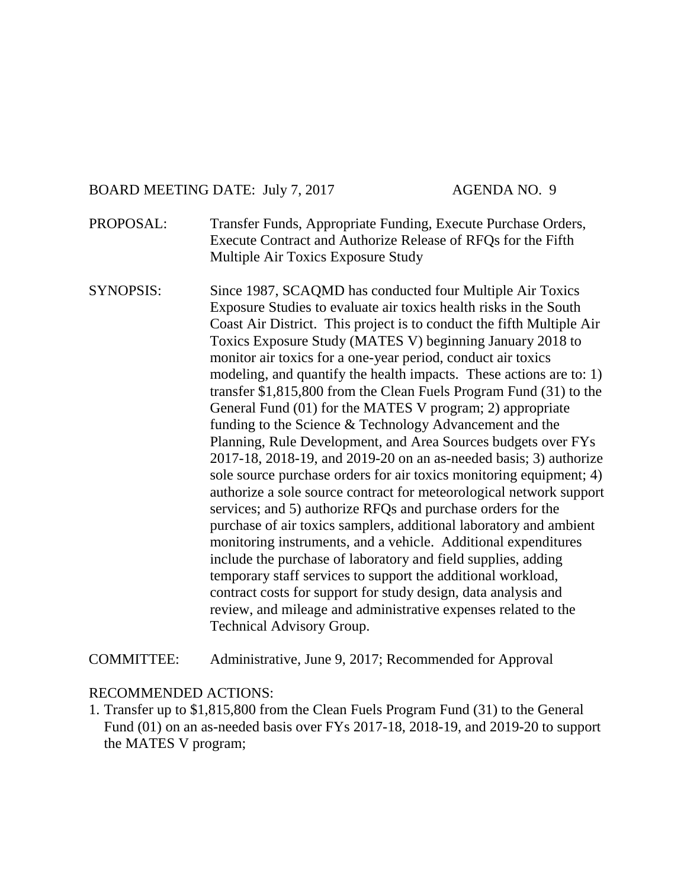#### BOARD MEETING DATE: July 7, 2017 AGENDA NO. 9

- PROPOSAL: Transfer Funds, Appropriate Funding, Execute Purchase Orders, Execute Contract and Authorize Release of RFQs for the Fifth Multiple Air Toxics Exposure Study
- SYNOPSIS: Since 1987, SCAQMD has conducted four Multiple Air Toxics Exposure Studies to evaluate air toxics health risks in the South Coast Air District. This project is to conduct the fifth Multiple Air Toxics Exposure Study (MATES V) beginning January 2018 to monitor air toxics for a one-year period, conduct air toxics modeling, and quantify the health impacts. These actions are to: 1) transfer \$1,815,800 from the Clean Fuels Program Fund (31) to the General Fund (01) for the MATES V program; 2) appropriate funding to the Science & Technology Advancement and the Planning, Rule Development, and Area Sources budgets over FYs 2017-18, 2018-19, and 2019-20 on an as-needed basis; 3) authorize sole source purchase orders for air toxics monitoring equipment; 4) authorize a sole source contract for meteorological network support services; and 5) authorize RFQs and purchase orders for the purchase of air toxics samplers, additional laboratory and ambient monitoring instruments, and a vehicle. Additional expenditures include the purchase of laboratory and field supplies, adding temporary staff services to support the additional workload, contract costs for support for study design, data analysis and review, and mileage and administrative expenses related to the Technical Advisory Group.

COMMITTEE: Administrative, June 9, 2017; Recommended for Approval

#### RECOMMENDED ACTIONS:

1. Transfer up to \$1,815,800 from the Clean Fuels Program Fund (31) to the General Fund (01) on an as-needed basis over FYs 2017-18, 2018-19, and 2019-20 to support the MATES V program;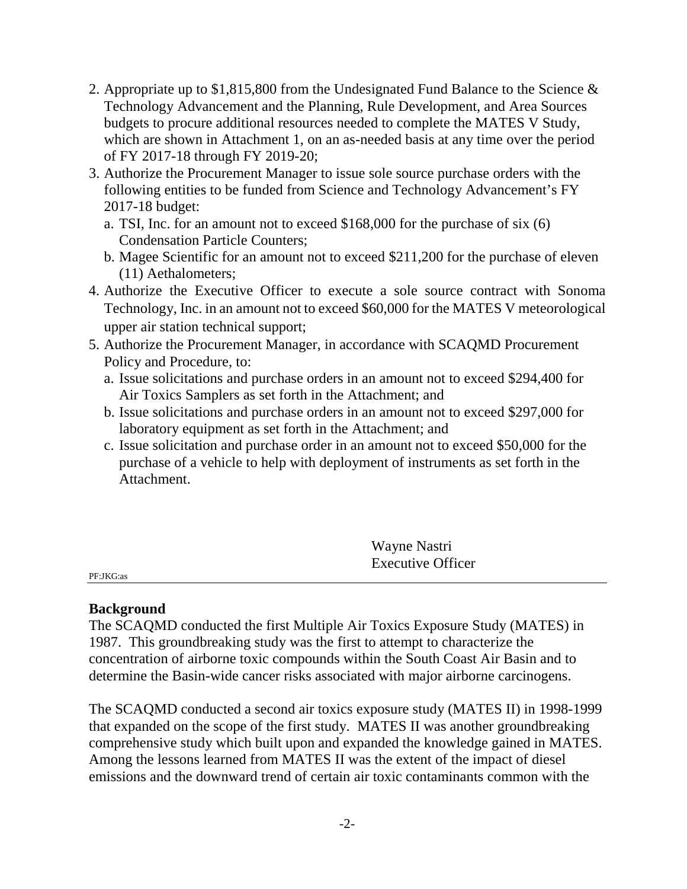- 2. Appropriate up to \$1,815,800 from the Undesignated Fund Balance to the Science & Technology Advancement and the Planning, Rule Development, and Area Sources budgets to procure additional resources needed to complete the MATES V Study, which are shown in Attachment 1, on an as-needed basis at any time over the period of FY 2017-18 through FY 2019-20;
- 3. Authorize the Procurement Manager to issue sole source purchase orders with the following entities to be funded from Science and Technology Advancement's FY 2017-18 budget:
	- a. TSI, Inc. for an amount not to exceed \$168,000 for the purchase of six (6) Condensation Particle Counters;
	- b. Magee Scientific for an amount not to exceed \$211,200 for the purchase of eleven (11) Aethalometers;
- 4. Authorize the Executive Officer to execute a sole source contract with Sonoma Technology, Inc. in an amount not to exceed \$60,000 for the MATES V meteorological upper air station technical support;
- 5. Authorize the Procurement Manager, in accordance with SCAQMD Procurement Policy and Procedure, to:
	- a. Issue solicitations and purchase orders in an amount not to exceed \$294,400 for Air Toxics Samplers as set forth in the Attachment; and
	- b. Issue solicitations and purchase orders in an amount not to exceed \$297,000 for laboratory equipment as set forth in the Attachment; and
	- c. Issue solicitation and purchase order in an amount not to exceed \$50,000 for the purchase of a vehicle to help with deployment of instruments as set forth in the Attachment.

Wayne Nastri Executive Officer

PF:JKG:as

#### **Background**

The SCAQMD conducted the first Multiple Air Toxics Exposure Study (MATES) in 1987. This groundbreaking study was the first to attempt to characterize the concentration of airborne toxic compounds within the South Coast Air Basin and to determine the Basin-wide cancer risks associated with major airborne carcinogens.

The SCAQMD conducted a second air toxics exposure study (MATES II) in 1998-1999 that expanded on the scope of the first study. MATES II was another groundbreaking comprehensive study which built upon and expanded the knowledge gained in MATES. Among the lessons learned from MATES II was the extent of the impact of diesel emissions and the downward trend of certain air toxic contaminants common with the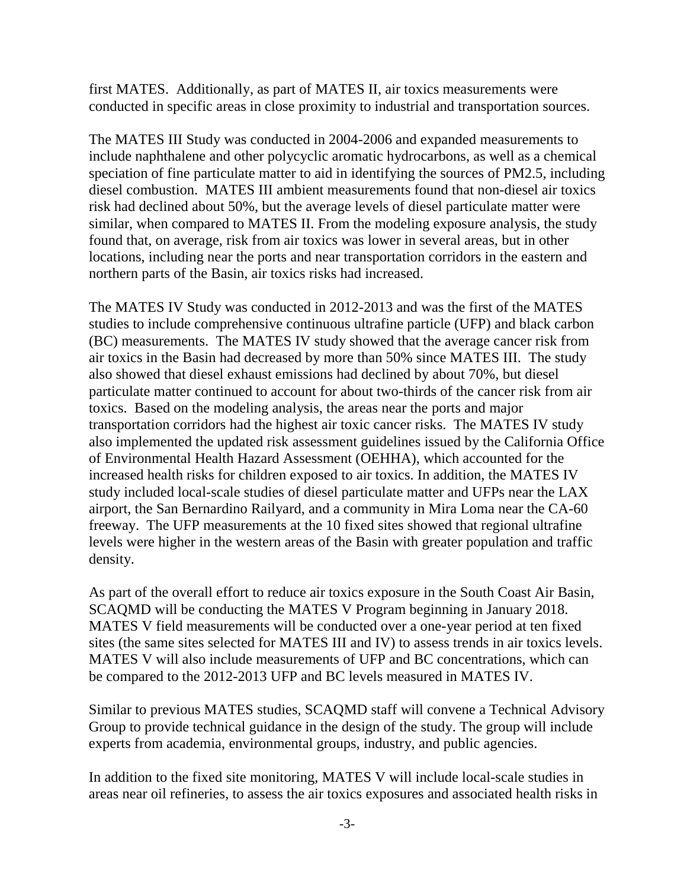first MATES. Additionally, as part of MATES II, air toxics measurements were conducted in specific areas in close proximity to industrial and transportation sources.

The MATES III Study was conducted in 2004-2006 and expanded measurements to include naphthalene and other polycyclic aromatic hydrocarbons, as well as a chemical speciation of fine particulate matter to aid in identifying the sources of PM2.5, including diesel combustion. MATES III ambient measurements found that non-diesel air toxics risk had declined about 50%, but the average levels of diesel particulate matter were similar, when compared to MATES II. From the modeling exposure analysis, the study found that, on average, risk from air toxics was lower in several areas, but in other locations, including near the ports and near transportation corridors in the eastern and northern parts of the Basin, air toxics risks had increased.

The MATES IV Study was conducted in 2012-2013 and was the first of the MATES studies to include comprehensive continuous ultrafine particle (UFP) and black carbon (BC) measurements. The MATES IV study showed that the average cancer risk from air toxics in the Basin had decreased by more than 50% since MATES III. The study also showed that diesel exhaust emissions had declined by about 70%, but diesel particulate matter continued to account for about two-thirds of the cancer risk from air toxics. Based on the modeling analysis, the areas near the ports and major transportation corridors had the highest air toxic cancer risks. The MATES IV study also implemented the updated risk assessment guidelines issued by the California Office of Environmental Health Hazard Assessment (OEHHA), which accounted for the increased health risks for children exposed to air toxics. In addition, the MATES IV study included local-scale studies of diesel particulate matter and UFPs near the LAX airport, the San Bernardino Railyard, and a community in Mira Loma near the CA-60 freeway. The UFP measurements at the 10 fixed sites showed that regional ultrafine levels were higher in the western areas of the Basin with greater population and traffic density.

As part of the overall effort to reduce air toxics exposure in the South Coast Air Basin, SCAQMD will be conducting the MATES V Program beginning in January 2018. MATES V field measurements will be conducted over a one-year period at ten fixed sites (the same sites selected for MATES III and IV) to assess trends in air toxics levels. MATES V will also include measurements of UFP and BC concentrations, which can be compared to the 2012-2013 UFP and BC levels measured in MATES IV.

Similar to previous MATES studies, SCAQMD staff will convene a Technical Advisory Group to provide technical guidance in the design of the study. The group will include experts from academia, environmental groups, industry, and public agencies.

In addition to the fixed site monitoring, MATES V will include local-scale studies in areas near oil refineries, to assess the air toxics exposures and associated health risks in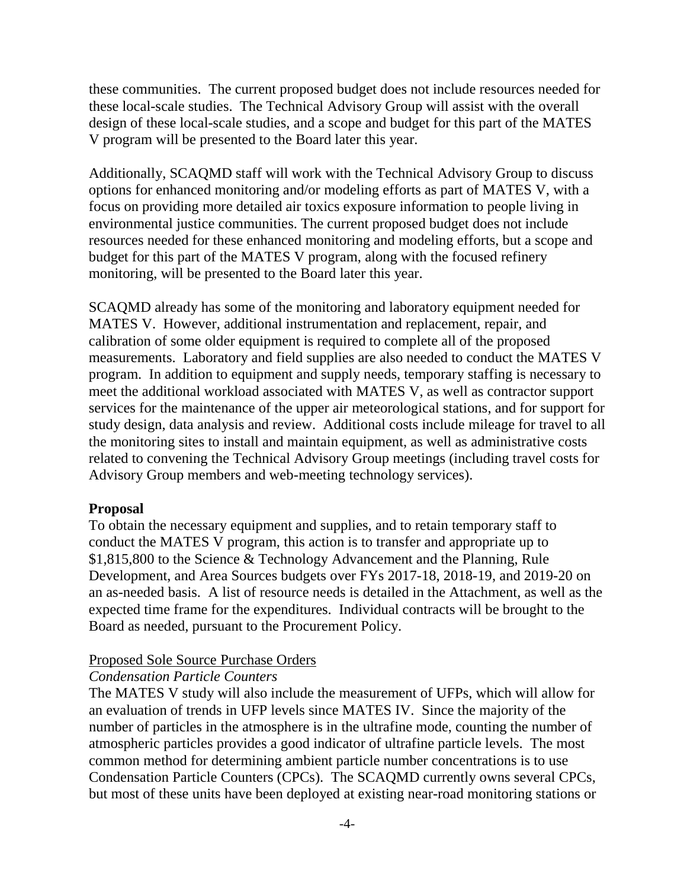these communities. The current proposed budget does not include resources needed for these local-scale studies. The Technical Advisory Group will assist with the overall design of these local-scale studies, and a scope and budget for this part of the MATES V program will be presented to the Board later this year.

Additionally, SCAQMD staff will work with the Technical Advisory Group to discuss options for enhanced monitoring and/or modeling efforts as part of MATES V, with a focus on providing more detailed air toxics exposure information to people living in environmental justice communities. The current proposed budget does not include resources needed for these enhanced monitoring and modeling efforts, but a scope and budget for this part of the MATES V program, along with the focused refinery monitoring, will be presented to the Board later this year.

SCAQMD already has some of the monitoring and laboratory equipment needed for MATES V. However, additional instrumentation and replacement, repair, and calibration of some older equipment is required to complete all of the proposed measurements. Laboratory and field supplies are also needed to conduct the MATES V program. In addition to equipment and supply needs, temporary staffing is necessary to meet the additional workload associated with MATES V, as well as contractor support services for the maintenance of the upper air meteorological stations, and for support for study design, data analysis and review. Additional costs include mileage for travel to all the monitoring sites to install and maintain equipment, as well as administrative costs related to convening the Technical Advisory Group meetings (including travel costs for Advisory Group members and web-meeting technology services).

#### **Proposal**

To obtain the necessary equipment and supplies, and to retain temporary staff to conduct the MATES V program, this action is to transfer and appropriate up to \$1,815,800 to the Science & Technology Advancement and the Planning, Rule Development, and Area Sources budgets over FYs 2017-18, 2018-19, and 2019-20 on an as-needed basis. A list of resource needs is detailed in the Attachment, as well as the expected time frame for the expenditures. Individual contracts will be brought to the Board as needed, pursuant to the Procurement Policy.

#### Proposed Sole Source Purchase Orders

#### *Condensation Particle Counters*

The MATES V study will also include the measurement of UFPs, which will allow for an evaluation of trends in UFP levels since MATES IV. Since the majority of the number of particles in the atmosphere is in the ultrafine mode, counting the number of atmospheric particles provides a good indicator of ultrafine particle levels. The most common method for determining ambient particle number concentrations is to use Condensation Particle Counters (CPCs). The SCAQMD currently owns several CPCs, but most of these units have been deployed at existing near-road monitoring stations or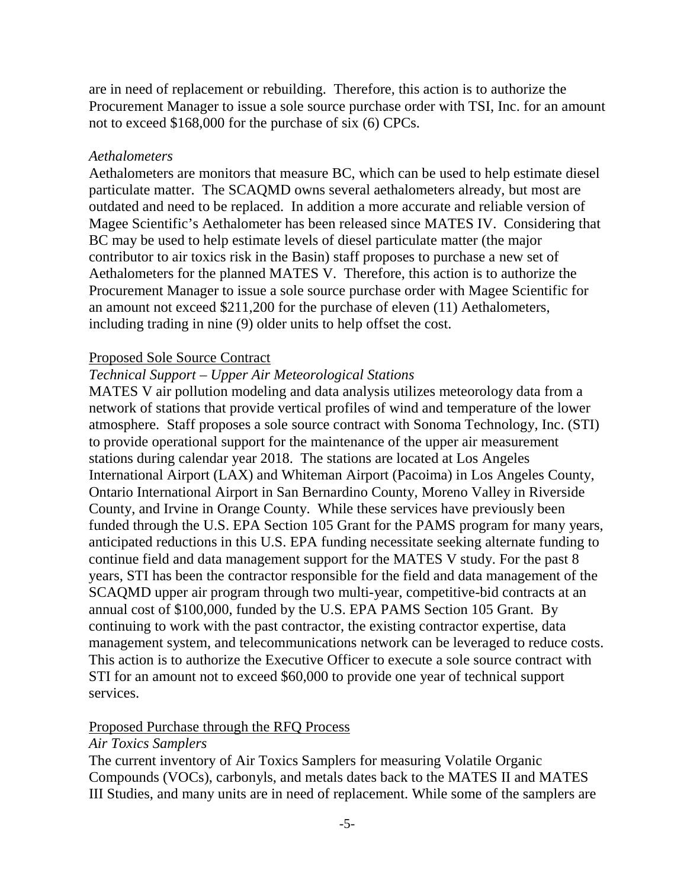are in need of replacement or rebuilding. Therefore, this action is to authorize the Procurement Manager to issue a sole source purchase order with TSI, Inc. for an amount not to exceed \$168,000 for the purchase of six (6) CPCs.

### *Aethalometers*

Aethalometers are monitors that measure BC, which can be used to help estimate diesel particulate matter. The SCAQMD owns several aethalometers already, but most are outdated and need to be replaced. In addition a more accurate and reliable version of Magee Scientific's Aethalometer has been released since MATES IV. Considering that BC may be used to help estimate levels of diesel particulate matter (the major contributor to air toxics risk in the Basin) staff proposes to purchase a new set of Aethalometers for the planned MATES V. Therefore, this action is to authorize the Procurement Manager to issue a sole source purchase order with Magee Scientific for an amount not exceed \$211,200 for the purchase of eleven (11) Aethalometers, including trading in nine (9) older units to help offset the cost.

# Proposed Sole Source Contract

# *Technical Support – Upper Air Meteorological Stations*

MATES V air pollution modeling and data analysis utilizes meteorology data from a network of stations that provide vertical profiles of wind and temperature of the lower atmosphere. Staff proposes a sole source contract with Sonoma Technology, Inc. (STI) to provide operational support for the maintenance of the upper air measurement stations during calendar year 2018. The stations are located at Los Angeles International Airport (LAX) and Whiteman Airport (Pacoima) in Los Angeles County, Ontario International Airport in San Bernardino County, Moreno Valley in Riverside County, and Irvine in Orange County. While these services have previously been funded through the U.S. EPA Section 105 Grant for the PAMS program for many years, anticipated reductions in this U.S. EPA funding necessitate seeking alternate funding to continue field and data management support for the MATES V study. For the past 8 years, STI has been the contractor responsible for the field and data management of the SCAQMD upper air program through two multi-year, competitive-bid contracts at an annual cost of \$100,000, funded by the U.S. EPA PAMS Section 105 Grant. By continuing to work with the past contractor, the existing contractor expertise, data management system, and telecommunications network can be leveraged to reduce costs. This action is to authorize the Executive Officer to execute a sole source contract with STI for an amount not to exceed \$60,000 to provide one year of technical support services.

# Proposed Purchase through the RFQ Process

#### *Air Toxics Samplers*

The current inventory of Air Toxics Samplers for measuring Volatile Organic Compounds (VOCs), carbonyls, and metals dates back to the MATES II and MATES III Studies, and many units are in need of replacement. While some of the samplers are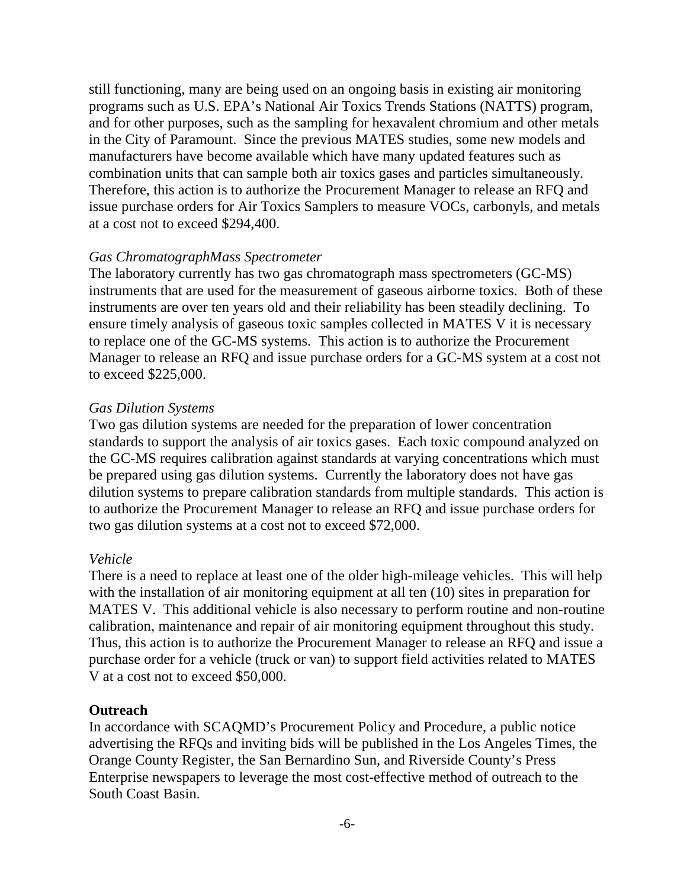still functioning, many are being used on an ongoing basis in existing air monitoring programs such as U.S. EPA's National Air Toxics Trends Stations (NATTS) program, and for other purposes, such as the sampling for hexavalent chromium and other metals in the City of Paramount. Since the previous MATES studies, some new models and manufacturers have become available which have many updated features such as combination units that can sample both air toxics gases and particles simultaneously. Therefore, this action is to authorize the Procurement Manager to release an RFQ and issue purchase orders for Air Toxics Samplers to measure VOCs, carbonyls, and metals at a cost not to exceed \$294,400.

#### *Gas ChromatographMass Spectrometer*

The laboratory currently has two gas chromatograph mass spectrometers (GC-MS) instruments that are used for the measurement of gaseous airborne toxics. Both of these instruments are over ten years old and their reliability has been steadily declining. To ensure timely analysis of gaseous toxic samples collected in MATES V it is necessary to replace one of the GC-MS systems. This action is to authorize the Procurement Manager to release an RFQ and issue purchase orders for a GC-MS system at a cost not to exceed \$225,000.

# *Gas Dilution Systems*

Two gas dilution systems are needed for the preparation of lower concentration standards to support the analysis of air toxics gases. Each toxic compound analyzed on the GC-MS requires calibration against standards at varying concentrations which must be prepared using gas dilution systems. Currently the laboratory does not have gas dilution systems to prepare calibration standards from multiple standards. This action is to authorize the Procurement Manager to release an RFQ and issue purchase orders for two gas dilution systems at a cost not to exceed \$72,000.

#### *Vehicle*

There is a need to replace at least one of the older high-mileage vehicles. This will help with the installation of air monitoring equipment at all ten (10) sites in preparation for MATES V. This additional vehicle is also necessary to perform routine and non-routine calibration, maintenance and repair of air monitoring equipment throughout this study. Thus, this action is to authorize the Procurement Manager to release an RFQ and issue a purchase order for a vehicle (truck or van) to support field activities related to MATES V at a cost not to exceed \$50,000.

#### **Outreach**

In accordance with SCAQMD's Procurement Policy and Procedure, a public notice advertising the RFQs and inviting bids will be published in the Los Angeles Times, the Orange County Register, the San Bernardino Sun, and Riverside County's Press Enterprise newspapers to leverage the most cost-effective method of outreach to the South Coast Basin.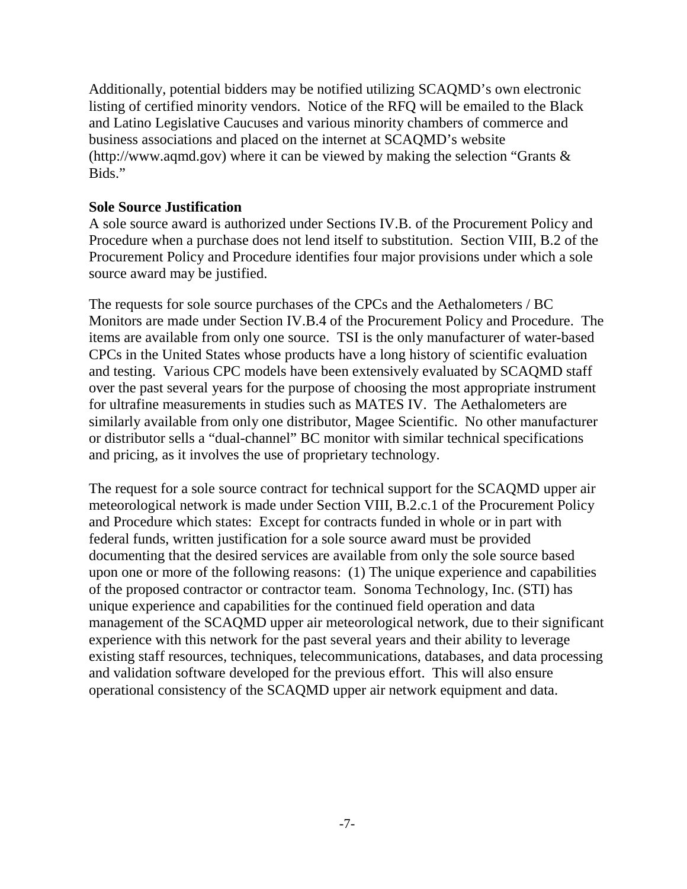Additionally, potential bidders may be notified utilizing SCAQMD's own electronic listing of certified minority vendors. Notice of the RFQ will be emailed to the Black and Latino Legislative Caucuses and various minority chambers of commerce and business associations and placed on the internet at SCAQMD's website (http://www.aqmd.gov) where it can be viewed by making the selection "Grants & Bids."

#### **Sole Source Justification**

A sole source award is authorized under Sections IV.B. of the Procurement Policy and Procedure when a purchase does not lend itself to substitution. Section VIII, B.2 of the Procurement Policy and Procedure identifies four major provisions under which a sole source award may be justified.

The requests for sole source purchases of the CPCs and the Aethalometers / BC Monitors are made under Section IV.B.4 of the Procurement Policy and Procedure. The items are available from only one source. TSI is the only manufacturer of water-based CPCs in the United States whose products have a long history of scientific evaluation and testing. Various CPC models have been extensively evaluated by SCAQMD staff over the past several years for the purpose of choosing the most appropriate instrument for ultrafine measurements in studies such as MATES IV. The Aethalometers are similarly available from only one distributor, Magee Scientific. No other manufacturer or distributor sells a "dual-channel" BC monitor with similar technical specifications and pricing, as it involves the use of proprietary technology.

The request for a sole source contract for technical support for the SCAQMD upper air meteorological network is made under Section VIII, B.2.c.1 of the Procurement Policy and Procedure which states: Except for contracts funded in whole or in part with federal funds, written justification for a sole source award must be provided documenting that the desired services are available from only the sole source based upon one or more of the following reasons: (1) The unique experience and capabilities of the proposed contractor or contractor team. Sonoma Technology, Inc. (STI) has unique experience and capabilities for the continued field operation and data management of the SCAQMD upper air meteorological network, due to their significant experience with this network for the past several years and their ability to leverage existing staff resources, techniques, telecommunications, databases, and data processing and validation software developed for the previous effort. This will also ensure operational consistency of the SCAQMD upper air network equipment and data.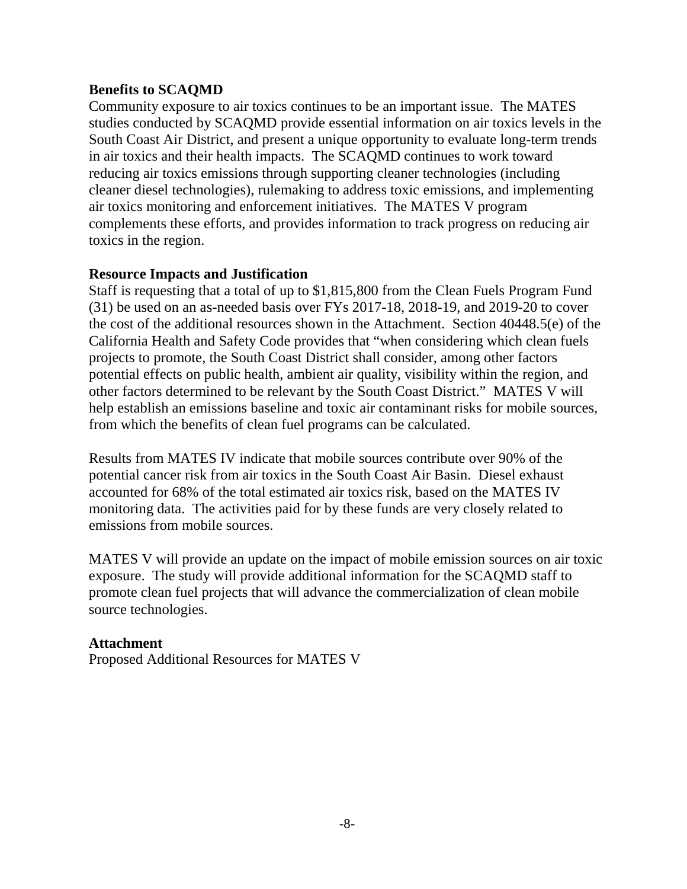# **Benefits to SCAQMD**

Community exposure to air toxics continues to be an important issue. The MATES studies conducted by SCAQMD provide essential information on air toxics levels in the South Coast Air District, and present a unique opportunity to evaluate long-term trends in air toxics and their health impacts. The SCAQMD continues to work toward reducing air toxics emissions through supporting cleaner technologies (including cleaner diesel technologies), rulemaking to address toxic emissions, and implementing air toxics monitoring and enforcement initiatives. The MATES V program complements these efforts, and provides information to track progress on reducing air toxics in the region.

# **Resource Impacts and Justification**

Staff is requesting that a total of up to \$1,815,800 from the Clean Fuels Program Fund (31) be used on an as-needed basis over FYs 2017-18, 2018-19, and 2019-20 to cover the cost of the additional resources shown in the Attachment. Section 40448.5(e) of the California Health and Safety Code provides that "when considering which clean fuels projects to promote, the South Coast District shall consider, among other factors potential effects on public health, ambient air quality, visibility within the region, and other factors determined to be relevant by the South Coast District." MATES V will help establish an emissions baseline and toxic air contaminant risks for mobile sources, from which the benefits of clean fuel programs can be calculated.

Results from MATES IV indicate that mobile sources contribute over 90% of the potential cancer risk from air toxics in the South Coast Air Basin. Diesel exhaust accounted for 68% of the total estimated air toxics risk, based on the MATES IV monitoring data. The activities paid for by these funds are very closely related to emissions from mobile sources.

MATES V will provide an update on the impact of mobile emission sources on air toxic exposure. The study will provide additional information for the SCAQMD staff to promote clean fuel projects that will advance the commercialization of clean mobile source technologies.

# **Attachment**

Proposed Additional Resources for MATES V